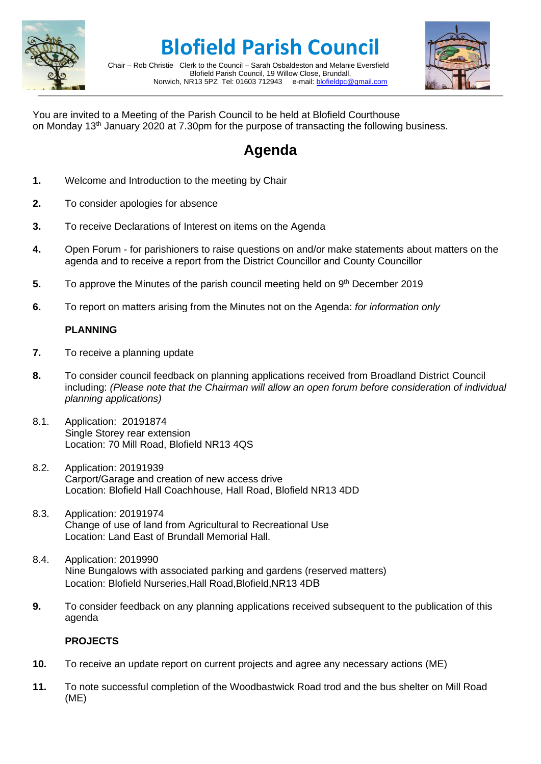

**Blofield Parish Council**

Chair – Rob Christie Clerk to the Council – Sarah Osbaldeston and Melanie Eversfield Blofield Parish Council, 19 Willow Close, Brundall, Norwich, NR13 5PZ Tel: 01603 712943 e-mail: [blofieldpc@gmail.com](mailto:blofieldpc@gmail.com)



You are invited to a Meeting of the Parish Council to be held at Blofield Courthouse on Monday 13<sup>th</sup> January 2020 at 7.30pm for the purpose of transacting the following business.

# **Agenda**

- **1.** Welcome and Introduction to the meeting by Chair
- **2.** To consider apologies for absence
- **3.** To receive Declarations of Interest on items on the Agenda
- **4.** Open Forum for parishioners to raise questions on and/or make statements about matters on the agenda and to receive a report from the District Councillor and County Councillor
- **5.** To approve the Minutes of the parish council meeting held on 9<sup>th</sup> December 2019
- **6.** To report on matters arising from the Minutes not on the Agenda: *for information only*

## **PLANNING**

- **7.** To receive a planning update
- **8.** To consider council feedback on planning applications received from Broadland District Council including: *(Please note that the Chairman will allow an open forum before consideration of individual planning applications)*
- 8.1. Application: 20191874 Single Storey rear extension Location: 70 Mill Road, Blofield NR13 4QS
- 8.2. Application: 20191939 Carport/Garage and creation of new access drive Location: Blofield Hall Coachhouse, Hall Road, Blofield NR13 4DD
- 8.3. Application: 20191974 Change of use of land from Agricultural to Recreational Use Location: Land East of Brundall Memorial Hall.
- 8.4. Application: 2019990 Nine Bungalows with associated parking and gardens (reserved matters) Location: Blofield Nurseries,Hall Road,Blofield,NR13 4DB
- **9.** To consider feedback on any planning applications received subsequent to the publication of this agenda

## **PROJECTS**

- **10.** To receive an update report on current projects and agree any necessary actions (ME)
- **11.** To note successful completion of the Woodbastwick Road trod and the bus shelter on Mill Road (ME)